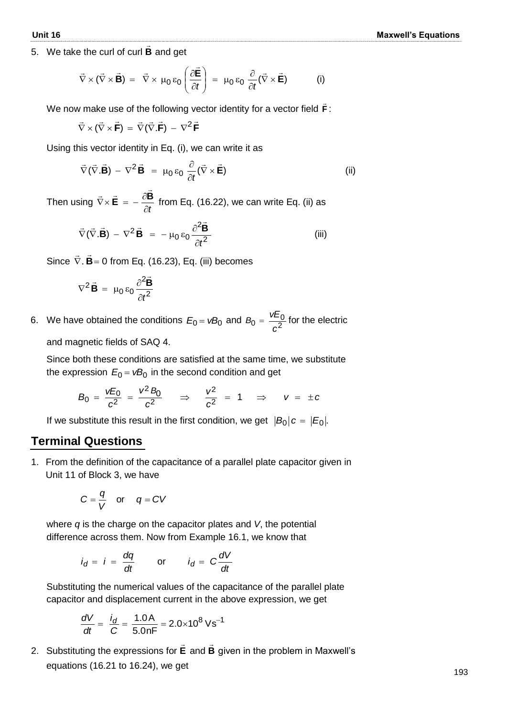5. We take the curl of curl **B**  $\ddot{=}$ and get

$$
\vec{\nabla} \times (\vec{\nabla} \times \vec{\mathbf{B}}) = \vec{\nabla} \times \mu_0 \, \varepsilon_0 \left( \frac{\partial \vec{\mathbf{E}}}{\partial t} \right) = \mu_0 \, \varepsilon_0 \, \frac{\partial}{\partial t} (\vec{\nabla} \times \vec{\mathbf{E}})
$$
 (i)

We now make use of the following vector identity for a vector field **F**  $\vec{F}$  :

$$
\vec{\nabla} \times (\vec{\nabla} \times \vec{\mathbf{F}}) = \vec{\nabla} (\vec{\nabla} . \vec{\mathbf{F}}) - \nabla^2 \vec{\mathbf{F}}
$$

Using this vector identity in Eq. (i), we can write it as

$$
\vec{\nabla}(\vec{\nabla}.\vec{\mathbf{B}}) - \nabla^2 \vec{\mathbf{B}} = \mu_0 \varepsilon_0 \frac{\partial}{\partial t} (\vec{\nabla} \times \vec{\mathbf{E}})
$$
 (ii)

Then using *t*  $\vec{\nabla}\times\vec{\mathbf{E}} = -\frac{\partial\mathbf{B}}{\partial t}$  $\overline{z}$   $\overline{z}$   $\frac{\partial \overline{B}}{\partial z}$ from Eq. (16.22), we can write Eq. (ii) as

$$
\vec{\nabla}(\vec{\nabla}.\vec{\mathbf{B}}) - \nabla^2 \vec{\mathbf{B}} = -\mu_0 \epsilon_0 \frac{\partial^2 \vec{\mathbf{B}}}{\partial t^2}
$$
 (iii)

Since  $\nabla$ . **B** = 0  $\pm$   $\pm$ . **B**= 0 from Eq. (16.23), Eq. (iii) becomes

$$
\nabla^2 \vec{\mathbf{B}} = \mu_0 \, \epsilon_0 \, \frac{\partial^2 \vec{\mathbf{B}}}{\partial t^2}
$$

6. We have obtained the conditions  $E_0 = vB_0$  and  $B_0 = \frac{vE_0}{c^2}$  $B_0 = \frac{vE_0}{c^2}$  $B_0 = \frac{vE_0}{2}$  for the electric

and magnetic fields of SAQ 4.

Since both these conditions are satisfied at the same time, we substitute the expression  $E_0$  =  $vB_0$  in the second condition and get

$$
B_0 = \frac{vE_0}{c^2} = \frac{v^2 B_0}{c^2} \Rightarrow \frac{v^2}{c^2} = 1 \Rightarrow v = \pm c
$$

If we substitute this result in the first condition, we get  $|B_0|c = |E_0|$ .

## **Terminal Questions**

1. From the definition of the capacitance of a parallel plate capacitor given in Unit 11 of Block 3, we have

$$
C = \frac{q}{V} \quad \text{or} \quad q = CV
$$

where *q* is the charge on the capacitor plates and *V*, the potential difference across them. Now from Example 16.1, we know that

$$
i_d = i = \frac{dq}{dt}
$$
 or  $i_d = C \frac{dV}{dt}$ 

Substituting the numerical values of the capacitance of the parallel plate capacitor and displacement current in the above expression, we get

$$
\frac{dV}{dt} = \frac{i_d}{C} = \frac{1.0 \text{ A}}{5.0 \text{ nF}} = 2.0 \times 10^8 \text{ V s}^{-1}
$$

2. Substituting the expressions for **E**  $\rightarrow$ and **B**  $\rightarrow$ given in the problem in Maxwell's equations (16.21 to 16.24), we get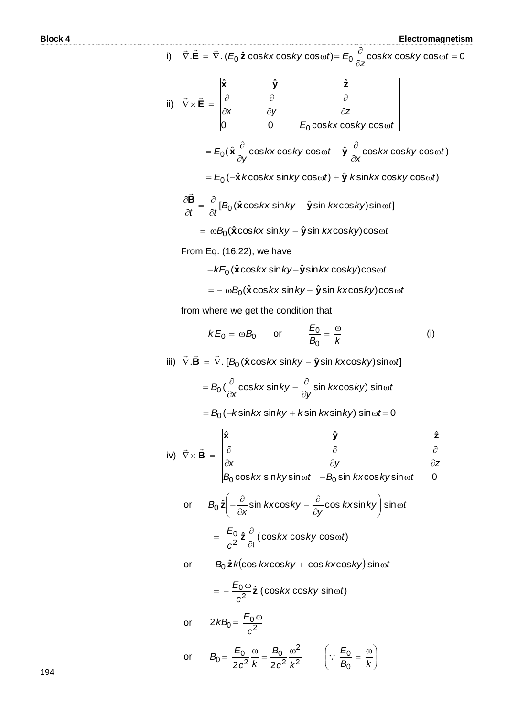**Block 4 Electromagnetism** i)  $\vec{\nabla} \cdot \mathbf{E} = \vec{\nabla} \cdot (E_0 \hat{\mathbf{z}} \cos kx \cos ky \cos \omega t) = E_0 \frac{\partial}{\partial z} \cos kx \cos ky \cos \omega t = 0$  $\vec{\nabla}.\vec{\mathbf{E}} = \vec{\nabla}.$  ( $E_0 \hat{\mathbf{z}}$  cos*kx* cos*ky* cos $\omega t$ )=  $E_0 \frac{\partial}{\partial x}$ cos*kx* cos*ky* cos $\omega t$ *z*  $\textbf{E}$  =  $\nabla$ .  $(E_0 \, \hat{\textbf{z}} \, \cos kx \, \text{cos} \, ky \, \text{cos} \, \omega t)$ =  $E$  ii)  $\nabla \times \mathbf{E} = \begin{vmatrix} \frac{\partial}{\partial x} & \frac{\partial}{\partial y} \\ 0 & 0 \end{vmatrix}$  *E*<sub>0</sub> cos*kx* cos*ky* cos  $\omega t$  $\omega$  $\partial$  $\hat{o}$  $\tilde{c}$  $\partial$  $\hat{o}$  $\vec{\nabla} \times \vec{\mathbf{E}} = \begin{bmatrix} \frac{\partial}{\partial x} \end{bmatrix}$ 0  $E_0 \cos kx \cos ky \cos \theta$  $\hat{\mathbf{x}}$   $\hat{\mathbf{y}}$   $\hat{\mathbf{z}}$  $\overline{0}$ **x y z E**  $\pm$   $\pm$  $E = E_0(\hat{\bm{x}} \frac{\partial}{\partial y} \cos kx \cos ky \cos \omega t - \hat{\bm{y}} \frac{\partial}{\partial x} \cos kx \cos ky \cos \omega t)$ *kx ky t y*  $E_0(\hat{x} - \cos kx \cos ky \cos \omega t - \hat{y} - \cos kx \cos ky \cos \omega t$  $\hat{c}$ ωt –  $\hat{\mathbf{y}} \frac{\partial}{\partial x}$  $\partial$  $E = E_0(\hat{\textbf{x}} \frac{\partial}{\partial x} \cos kx \cos ky \cos \omega t - \hat{\textbf{y}})$  $\hat{E}_0(-\hat{\textbf{x}}\,k\text{cos}k\text{x}\,\text{sin}k\text{y}\,\text{cos}\omega t)+\hat{\textbf{y}}\,k\text{sin}k\text{x}\,\text{cos}k\text{y}\,\text{cos}\omega t)$  $\frac{\partial \mathbf{B}}{\partial t} = \frac{\partial}{\partial t} [B_0 (\hat{\mathbf{x}} \cos kx \sin ky - \hat{\mathbf{y}} \sin kx \cos ky) \sin \omega t]$  $\hat{\mathbf{y}}$ sin  $k$ xcos $k$ y)sin $\omega$  $\partial$  $=\frac{\partial}{\partial}$  $\hat{o}$  $\frac{\partial \mathbf{B}}{\partial t} = \frac{\partial}{\partial t} [B_0(\hat{\mathbf{x}} \cos kx \sin ky - \hat{\mathbf{y}})]$  $\overline{a}$  $\beta = \omega B_0(\hat{\textbf{x}}\cos k\textbf{x}\sin k\textbf{y} - \hat{\textbf{y}}\sin k\textbf{x}\cos k\textbf{y})\cos \omega t$ From Eq. (16.22), we have  $-kE_{0}(\hat{\textbf{x}}\cos k\textbf{x}\sin k\textbf{y}-\hat{\textbf{y}}\sin k\textbf{x}\cos k\textbf{y})$ cos $\omega t$  $\mathbf{B} = -\ \omega \mathcal{B}_0(\hat{\mathbf{x}} \cos k\mathbf{x} \sin k\mathbf{y} - \hat{\mathbf{y}} \sin k\mathbf{x} \cos k\mathbf{y}) \cos \omega t$ from where we get the condition that  $kE_0 = \omega B_0$  or  $B_0$  *k*  $\frac{E_0}{E} = \frac{\omega}{l}$ 0  $\overline{0}$ (i)  $\vec{v} \cdot \vec{B} = \vec{\nabla} \cdot [B_0(\hat{\textbf{x}} \cos kx \sin ky - \hat{\textbf{y}} \sin kx \cos ky) \sin \omega t]$  $\pm$   $\pm$   $\pm$  $B_0(\frac{\nu}{\gamma}\cos kx\sin ky-\frac{\nu}{\gamma}\sin kx\cos ky)$  sin $\omega t$ *y kx ky x*  $B_0(\frac{6}{2}\cos kx \sin ky - \frac{6}{2}\sin kx \cos ky) \sin \omega$  $\hat{o}$  $-\frac{\partial}{\partial x}$  $\partial$  $= B_0 ( \frac{\partial}{\partial x} \cos kx \sin ky - \frac{\partial}{\partial y} \sin kx \cos ky) \sin kx$  $B_0(-k\!\sin k\!x\!\sin\!ky\!+k\!\sin k\!x\!\sin\!ky) \sin\!\omega t\!=\!0$ iv)  $\cos kx$  sin  $k$ ysin $\omega t$   $B_{\rm 0}$  sin  $\,$ kxcos $k$ ysin $\omega t$   $-$  0  $\hat{\mathbf{x}}$   $\hat{\mathbf{y}}$   $\hat{\mathbf{z}}$  $\frac{\partial}{\partial x}$ <br>B<sub>0</sub> cos kx sin ky sin  $\omega t$  -B<sub>0</sub> sin kxcos ky sin  $\omega t$ *x*  $\partial y$   $\partial z$  $\omega t$  -B<sub>0</sub> sin kxcos ky sin $\omega$  $\hat{c}$  $\partial$  $\hat{c}$  $\hat{c}$  $\hat{o}$  $\vec{\nabla} \times \vec{\mathbf{B}} = \begin{bmatrix} \frac{\partial}{\partial \theta} & \frac{\partial}{\partial \theta} \\ \frac{\partial}{\partial \theta} & \frac{\partial}{\partial \theta} & \frac{\partial}{\partial \theta} \end{bmatrix}$ **x y z B**  $\pm$   $\pm$ or  $B_0 \hat{\mathsf{z}}$   $\frac{v}{\hat{\mathsf{z}}}$  -  $\frac{v}{\hat{\mathsf{z}}}$  sin *kx*cos*ky* -  $\frac{v}{\hat{\mathsf{z}}}$  cos *kx*sin*ky*  $\vert$  sin $\omega t$ *y kx ky*  $B_0$   $\hat{\mathsf{z}}$   $\left(-\frac{\partial}{\partial x} \sin kx \cos ky - \frac{\partial}{\partial y} \cos kx \sin ky\right) \sin \omega$ J  $\lambda$  $\parallel$  $\setminus$ ſ  $\hat{o}$  $-\frac{\partial}{\partial x}$  $\partial$  $\partial_0 \hat{\mathsf{z}} \Big[ -\frac{\partial}{\partial x} \sin kx \cos ky - \frac{\partial}{\partial y} \cos kx \sin ky \Big] \sin \omega t$  $=\frac{L_0}{c^2}\hat{\mathbf{z}}\frac{\partial}{\partial t}(\cos kx\cos ky\cos\omega t)$  $\frac{10}{2}$   $\hat{\mathsf{z}}$   $\frac{C}{\hat{}}$  (  $\cos kx$   $\cos ky$   $\cos \omega t$ *c*  $\frac{E_0}{2}\hat{\mathsf{z}} \frac{\partial}{\partial \mathsf{z}}(\cos kx \cos ky \cos \omega)$  $\partial$  $=\frac{E_0}{2}\hat{\mathbf{z}}\frac{\partial}{\partial z}$ t **z** or  $-B_0 \hat{\mathbf{z}} k(\cos kx \cos ky + \cos kx \cos ky) \sin \omega t$  $\frac{10}{\sqrt{2}}\hat{\mathsf{z}}$  (cos*kx* cos*ky* sin $\omega t$ ) *c*  $=-\frac{E_{0} \omega}{2} \hat{\mathsf{z}}$  (cos*kx* cos*ky* sin $\omega$ or  $2kB_0 = \frac{E_0}{c^2}$ *c*  $kB_0 = \frac{E_0 \omega}{2}$ or  $B_0 = \frac{20}{2c^2} \frac{w}{k} = \frac{20}{2c^2} \frac{w}{k^2}$ 2 <u>็ง</u>  $B_0 = \frac{E_0}{2c^2} \frac{\omega}{k} = \frac{B_0}{2c^2} \frac{\omega}{k}$ *B*  $B_0 = \frac{E_0}{2a^2} \frac{\omega}{k} = \frac{B_0}{2a^2} \frac{\omega^2}{k^2}$   $\left(\because \frac{E_0}{B_0} = \frac{\omega}{k}\right)$  $\setminus$  $\overline{\phantom{a}}$  $\left(\cdot\right)\cdot\frac{E_0}{E}=\frac{\omega}{\tau}$ *E*  $\cdot \cdot \frac{50}{2}$ 

2

 $\overline{\mathcal{L}}$ 

 $\bigg)$ 

 $B_0$  *k* 

**0** 

2

 $c^2$  *k* 

194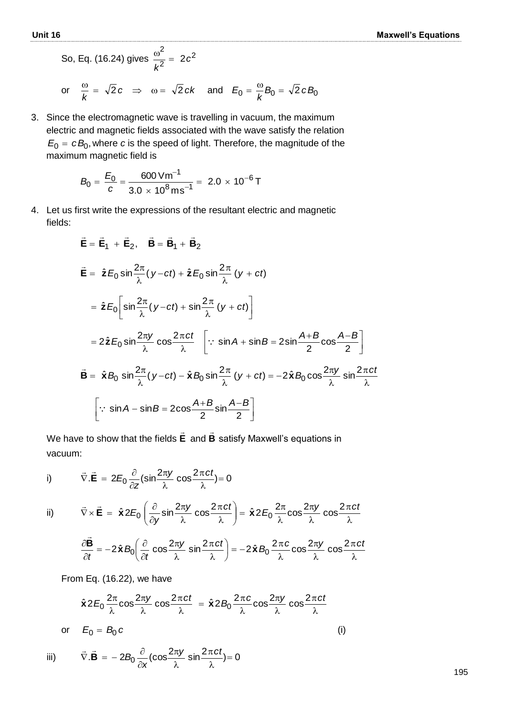So, Eq. (16.24) gives 
$$
\frac{\omega^2}{k^2} = 2c^2
$$
  
or  $\frac{\omega}{k} = \sqrt{2}c \implies \omega = \sqrt{2}ck$  and  $E_0 = \frac{\omega}{k}B_0 = \sqrt{2}cB_0$ 

3. Since the electromagnetic wave is travelling in vacuum, the maximum electric and magnetic fields associated with the wave satisfy the relation  $E_0 = cB_0$ , where  $c$  is the speed of light. Therefore, the magnitude of the maximum magnetic field is

$$
B_0 = \frac{E_0}{c} = \frac{600 \text{ V m}^{-1}}{3.0 \times 10^8 \text{ m s}^{-1}} = 2.0 \times 10^{-6} \text{ T}
$$

4. Let us first write the expressions of the resultant electric and magnetic fields:

$$
\vec{E} = \vec{E}_1 + \vec{E}_2, \quad \vec{B} = \vec{B}_1 + \vec{B}_2
$$
\n
$$
\vec{E} = \hat{z}E_0 \sin \frac{2\pi}{\lambda} (y - ct) + \hat{z}E_0 \sin \frac{2\pi}{\lambda} (y + ct)
$$
\n
$$
= \hat{z}E_0 \left[ \sin \frac{2\pi}{\lambda} (y - ct) + \sin \frac{2\pi}{\lambda} (y + ct) \right]
$$
\n
$$
= 2\hat{z}E_0 \sin \frac{2\pi y}{\lambda} \cos \frac{2\pi ct}{\lambda} \left[ \because \sin A + \sin B = 2\sin \frac{A+B}{2} \cos \frac{A-B}{2} \right]
$$
\n
$$
\vec{B} = \hat{x}B_0 \sin \frac{2\pi}{\lambda} (y - ct) - \hat{x}B_0 \sin \frac{2\pi}{\lambda} (y + ct) = -2\hat{x}B_0 \cos \frac{2\pi y}{\lambda} \sin \frac{2\pi ct}{\lambda}
$$
\n
$$
\left[ \because \sin A - \sin B = 2\cos \frac{A+B}{2} \sin \frac{A-B}{2} \right]
$$

We have to show that the fields **E**  $\rightarrow$ and **B**  $\overline{a}$ satisfy Maxwell's equations in vacuum:

i) 
$$
\vec{\nabla} \cdot \vec{\mathbf{E}} = 2E_0 \frac{\partial}{\partial z} (\sin \frac{2\pi y}{\lambda} \cos \frac{2\pi ct}{\lambda}) = 0
$$
  
ii) 
$$
\vec{\nabla} \times \vec{\mathbf{E}} = \hat{\mathbf{x}} 2E_0 \left( \frac{\partial}{\partial z} \sin \frac{2\pi y}{\lambda} \cos \frac{2\pi ct}{\lambda} \right)
$$

i) 
$$
\vec{\nabla} \cdot \vec{\mathbf{E}} = 2E_0 \frac{\partial}{\partial z} (\sin \frac{2\pi y}{\lambda} \cos \frac{2\pi ct}{\lambda}) = 0
$$
  
\nii)  $\vec{\nabla} \times \vec{\mathbf{E}} = \hat{\mathbf{x}} 2E_0 \left( \frac{\partial}{\partial y} \sin \frac{2\pi y}{\lambda} \cos \frac{2\pi ct}{\lambda} \right) = \hat{\mathbf{x}} 2E_0 \frac{2\pi}{\lambda} \cos \frac{2\pi y}{\lambda} \cos \frac{2\pi ct}{\lambda}$ 

$$
\nabla \times \mathbf{E} = \mathbf{x} 2E_0 \left( \frac{\partial}{\partial y} \sin \frac{\pi y}{\lambda} \cos \frac{\pi z}{\lambda} \right) = \mathbf{x} 2E_0 \frac{\pi}{\lambda} \cos \frac{\pi y}{\lambda} \cos \frac{\pi z}{\lambda}
$$

$$
\frac{\partial \vec{\mathbf{B}}}{\partial t} = -2\hat{\mathbf{x}} B_0 \left( \frac{\partial}{\partial t} \cos \frac{2\pi y}{\lambda} \sin \frac{2\pi ct}{\lambda} \right) = -2\hat{\mathbf{x}} B_0 \frac{2\pi c}{\lambda} \cos \frac{2\pi y}{\lambda} \cos \frac{2\pi ct}{\lambda}
$$

From Eq. (16.22), we have

iii)

$$
\hat{\mathbf{x}} 2E_0 \frac{2\pi}{\lambda} \cos \frac{2\pi y}{\lambda} \cos \frac{2\pi ct}{\lambda} = \hat{\mathbf{x}} 2B_0 \frac{2\pi c}{\lambda} \cos \frac{2\pi y}{\lambda} \cos \frac{2\pi ct}{\lambda}
$$
\nor\n
$$
E_0 = B_0 c
$$
\n(i)\n
$$
\vec{\nabla} \cdot \vec{\mathbf{B}} = -2B_0 \frac{\partial}{\partial x} (\cos \frac{2\pi y}{\lambda} \sin \frac{2\pi ct}{\lambda}) = 0
$$

λ

λ

 $\widehat{o}$ 

*x*